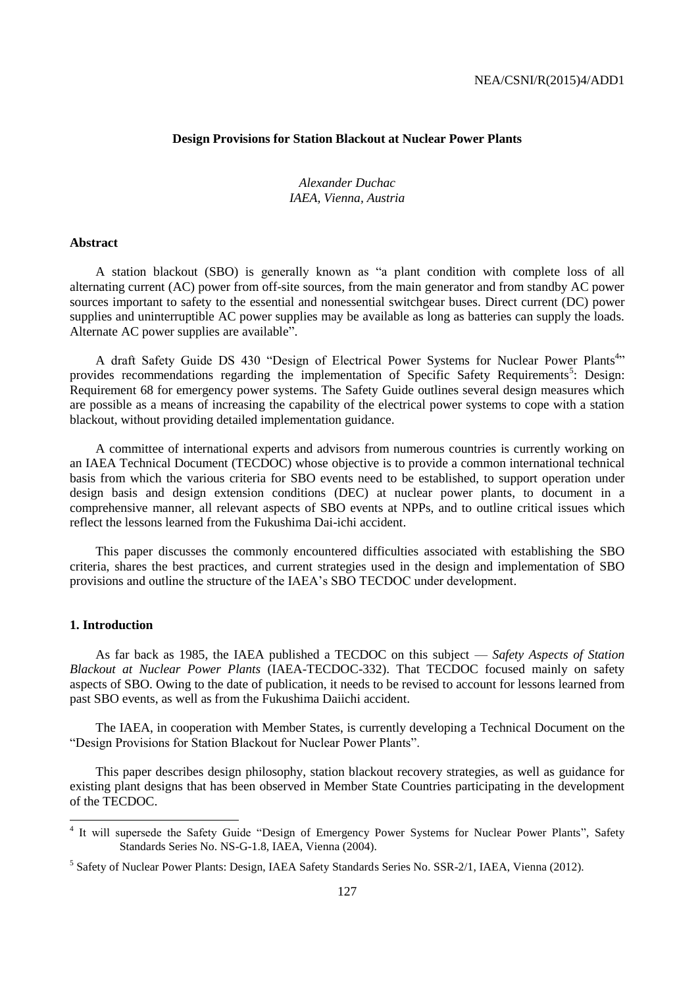# **Design Provisions for Station Blackout at Nuclear Power Plants**

*Alexander Duchac IAEA, Vienna, Austria*

## **Abstract**

A station blackout (SBO) is generally known as "a plant condition with complete loss of all alternating current (AC) power from off-site sources, from the main generator and from standby AC power sources important to safety to the essential and nonessential switchgear buses. Direct current (DC) power supplies and uninterruptible AC power supplies may be available as long as batteries can supply the loads. Alternate AC power supplies are available".

A draft Safety Guide DS 430 "Design of Electrical Power Systems for Nuclear Power Plants<sup>4,</sup>" provides recommendations regarding the implementation of Specific Safety Requirements<sup>5</sup>: Design: Requirement 68 for emergency power systems. The Safety Guide outlines several design measures which are possible as a means of increasing the capability of the electrical power systems to cope with a station blackout, without providing detailed implementation guidance.

A committee of international experts and advisors from numerous countries is currently working on an IAEA Technical Document (TECDOC) whose objective is to provide a common international technical basis from which the various criteria for SBO events need to be established, to support operation under design basis and design extension conditions (DEC) at nuclear power plants, to document in a comprehensive manner, all relevant aspects of SBO events at NPPs, and to outline critical issues which reflect the lessons learned from the Fukushima Dai-ichi accident.

This paper discusses the commonly encountered difficulties associated with establishing the SBO criteria, shares the best practices, and current strategies used in the design and implementation of SBO provisions and outline the structure of the IAEA's SBO TECDOC under development.

#### **1. Introduction**

As far back as 1985, the IAEA published a TECDOC on this subject — *Safety Aspects of Station Blackout at Nuclear Power Plants* (IAEA-TECDOC-332). That TECDOC focused mainly on safety aspects of SBO. Owing to the date of publication, it needs to be revised to account for lessons learned from past SBO events, as well as from the Fukushima Daiichi accident.

The IAEA, in cooperation with Member States, is currently developing a Technical Document on the "Design Provisions for Station Blackout for Nuclear Power Plants".

This paper describes design philosophy, station blackout recovery strategies, as well as guidance for existing plant designs that has been observed in Member State Countries participating in the development of the TECDOC.

<sup>&</sup>lt;sup>4</sup> It will supersede the Safety Guide "Design of Emergency Power Systems for Nuclear Power Plants", Safety Standards Series No. NS-G-1.8, IAEA, Vienna (2004).

<sup>&</sup>lt;sup>5</sup> Safety of Nuclear Power Plants: Design, IAEA Safety Standards Series No. SSR-2/1, IAEA, Vienna (2012).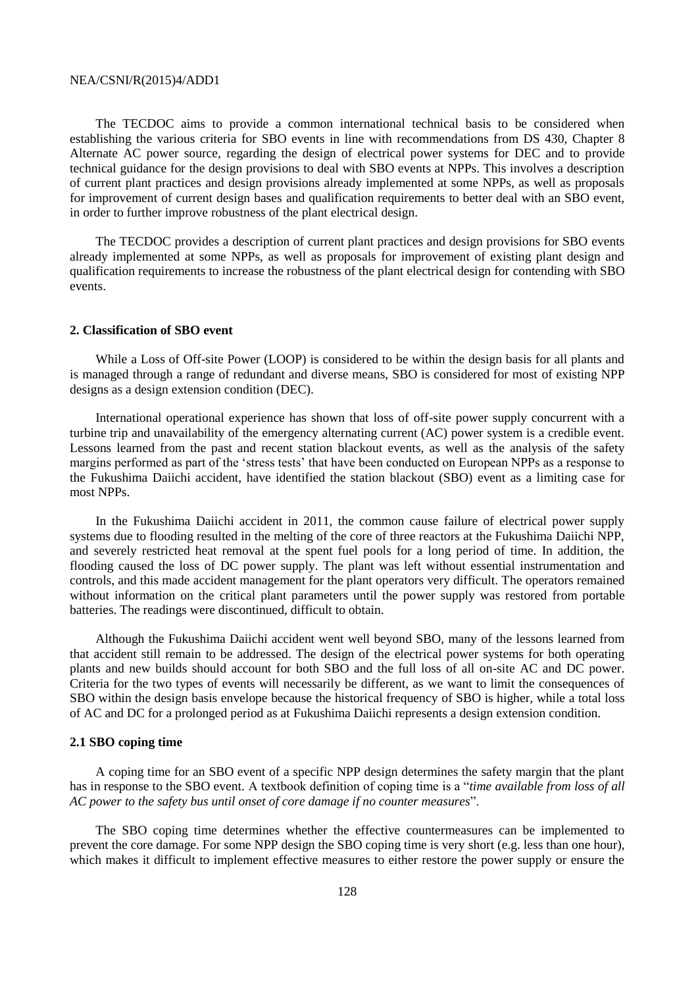The TECDOC aims to provide a common international technical basis to be considered when establishing the various criteria for SBO events in line with recommendations from DS 430, Chapter 8 Alternate AC power source, regarding the design of electrical power systems for DEC and to provide technical guidance for the design provisions to deal with SBO events at NPPs. This involves a description of current plant practices and design provisions already implemented at some NPPs, as well as proposals for improvement of current design bases and qualification requirements to better deal with an SBO event, in order to further improve robustness of the plant electrical design.

The TECDOC provides a description of current plant practices and design provisions for SBO events already implemented at some NPPs, as well as proposals for improvement of existing plant design and qualification requirements to increase the robustness of the plant electrical design for contending with SBO events.

## **2. Classification of SBO event**

While a Loss of Off-site Power (LOOP) is considered to be within the design basis for all plants and is managed through a range of redundant and diverse means, SBO is considered for most of existing NPP designs as a design extension condition (DEC).

International operational experience has shown that loss of off-site power supply concurrent with a turbine trip and unavailability of the emergency alternating current (AC) power system is a credible event. Lessons learned from the past and recent station blackout events, as well as the analysis of the safety margins performed as part of the 'stress tests' that have been conducted on European NPPs as a response to the Fukushima Daiichi accident, have identified the station blackout (SBO) event as a limiting case for most NPPs.

In the Fukushima Daiichi accident in 2011, the common cause failure of electrical power supply systems due to flooding resulted in the melting of the core of three reactors at the Fukushima Daiichi NPP, and severely restricted heat removal at the spent fuel pools for a long period of time. In addition, the flooding caused the loss of DC power supply. The plant was left without essential instrumentation and controls, and this made accident management for the plant operators very difficult. The operators remained without information on the critical plant parameters until the power supply was restored from portable batteries. The readings were discontinued, difficult to obtain.

Although the Fukushima Daiichi accident went well beyond SBO, many of the lessons learned from that accident still remain to be addressed. The design of the electrical power systems for both operating plants and new builds should account for both SBO and the full loss of all on-site AC and DC power. Criteria for the two types of events will necessarily be different, as we want to limit the consequences of SBO within the design basis envelope because the historical frequency of SBO is higher, while a total loss of AC and DC for a prolonged period as at Fukushima Daiichi represents a design extension condition.

#### **2.1 SBO coping time**

A coping time for an SBO event of a specific NPP design determines the safety margin that the plant has in response to the SBO event. A textbook definition of coping time is a "*time available from loss of all AC power to the safety bus until onset of core damage if no counter measures*".

The SBO coping time determines whether the effective countermeasures can be implemented to prevent the core damage. For some NPP design the SBO coping time is very short (e.g. less than one hour), which makes it difficult to implement effective measures to either restore the power supply or ensure the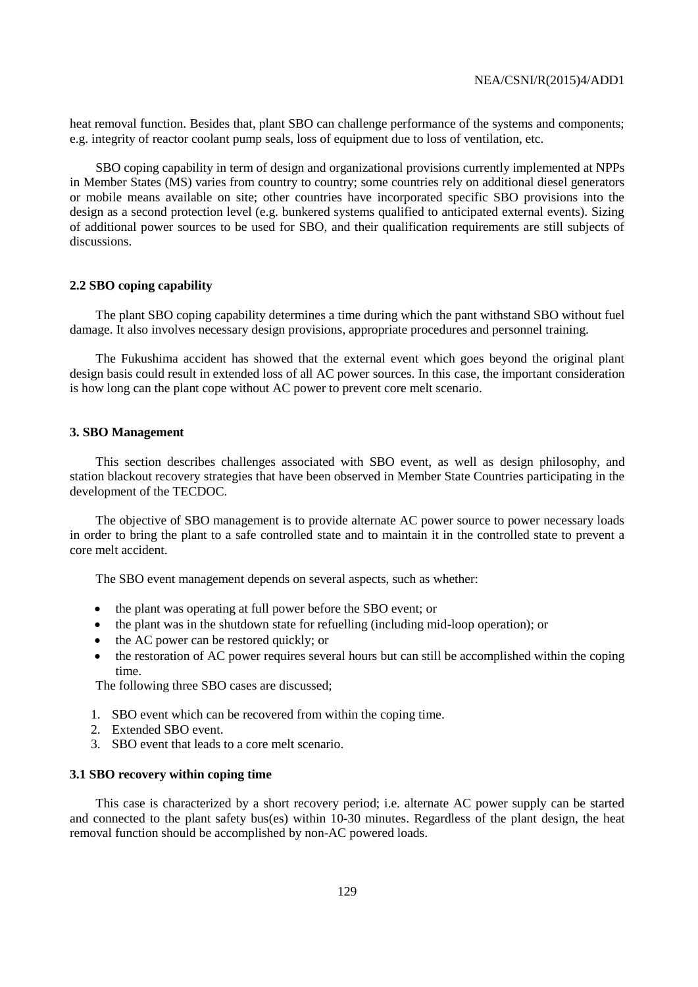heat removal function. Besides that, plant SBO can challenge performance of the systems and components; e.g. integrity of reactor coolant pump seals, loss of equipment due to loss of ventilation, etc.

SBO coping capability in term of design and organizational provisions currently implemented at NPPs in Member States (MS) varies from country to country; some countries rely on additional diesel generators or mobile means available on site; other countries have incorporated specific SBO provisions into the design as a second protection level (e.g. bunkered systems qualified to anticipated external events). Sizing of additional power sources to be used for SBO, and their qualification requirements are still subjects of discussions.

#### **2.2 SBO coping capability**

The plant SBO coping capability determines a time during which the pant withstand SBO without fuel damage. It also involves necessary design provisions, appropriate procedures and personnel training.

The Fukushima accident has showed that the external event which goes beyond the original plant design basis could result in extended loss of all AC power sources. In this case, the important consideration is how long can the plant cope without AC power to prevent core melt scenario.

#### **3. SBO Management**

This section describes challenges associated with SBO event, as well as design philosophy, and station blackout recovery strategies that have been observed in Member State Countries participating in the development of the TECDOC.

The objective of SBO management is to provide alternate AC power source to power necessary loads in order to bring the plant to a safe controlled state and to maintain it in the controlled state to prevent a core melt accident.

The SBO event management depends on several aspects, such as whether:

- the plant was operating at full power before the SBO event; or
- the plant was in the shutdown state for refuelling (including mid-loop operation); or
- the AC power can be restored quickly; or
- the restoration of AC power requires several hours but can still be accomplished within the coping time.

The following three SBO cases are discussed;

- 1. SBO event which can be recovered from within the coping time.
- 2. Extended SBO event.
- 3. SBO event that leads to a core melt scenario.

#### **3.1 SBO recovery within coping time**

This case is characterized by a short recovery period; i.e. alternate AC power supply can be started and connected to the plant safety bus(es) within 10-30 minutes. Regardless of the plant design, the heat removal function should be accomplished by non-AC powered loads.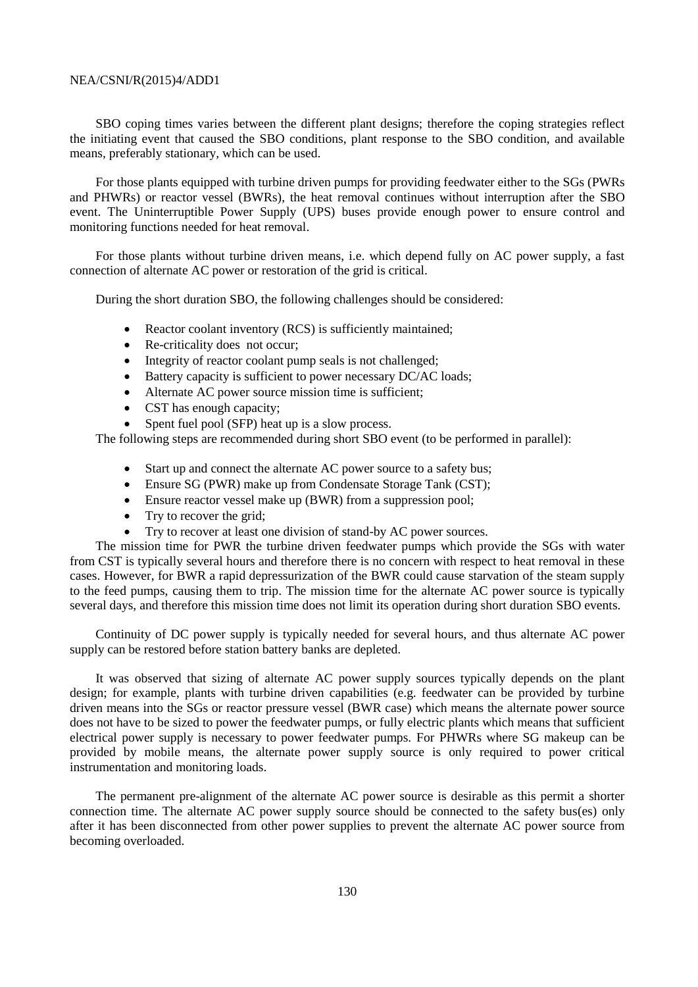SBO coping times varies between the different plant designs; therefore the coping strategies reflect the initiating event that caused the SBO conditions, plant response to the SBO condition, and available means, preferably stationary, which can be used.

For those plants equipped with turbine driven pumps for providing feedwater either to the SGs (PWRs and PHWRs) or reactor vessel (BWRs), the heat removal continues without interruption after the SBO event. The Uninterruptible Power Supply (UPS) buses provide enough power to ensure control and monitoring functions needed for heat removal.

For those plants without turbine driven means, i.e. which depend fully on AC power supply, a fast connection of alternate AC power or restoration of the grid is critical.

During the short duration SBO, the following challenges should be considered:

- Reactor coolant inventory (RCS) is sufficiently maintained:
- Re-criticality does not occur:
- Integrity of reactor coolant pump seals is not challenged;
- Battery capacity is sufficient to power necessary DC/AC loads;
- Alternate AC power source mission time is sufficient;
- CST has enough capacity;
- Spent fuel pool (SFP) heat up is a slow process.

The following steps are recommended during short SBO event (to be performed in parallel):

- Start up and connect the alternate AC power source to a safety bus;
- Ensure SG (PWR) make up from Condensate Storage Tank (CST);
- Ensure reactor vessel make up (BWR) from a suppression pool;
- Try to recover the grid;
- Try to recover at least one division of stand-by AC power sources.

The mission time for PWR the turbine driven feedwater pumps which provide the SGs with water from CST is typically several hours and therefore there is no concern with respect to heat removal in these cases. However, for BWR a rapid depressurization of the BWR could cause starvation of the steam supply to the feed pumps, causing them to trip. The mission time for the alternate AC power source is typically several days, and therefore this mission time does not limit its operation during short duration SBO events.

Continuity of DC power supply is typically needed for several hours, and thus alternate AC power supply can be restored before station battery banks are depleted.

It was observed that sizing of alternate AC power supply sources typically depends on the plant design; for example, plants with turbine driven capabilities (e.g. feedwater can be provided by turbine driven means into the SGs or reactor pressure vessel (BWR case) which means the alternate power source does not have to be sized to power the feedwater pumps, or fully electric plants which means that sufficient electrical power supply is necessary to power feedwater pumps. For PHWRs where SG makeup can be provided by mobile means, the alternate power supply source is only required to power critical instrumentation and monitoring loads.

The permanent pre-alignment of the alternate AC power source is desirable as this permit a shorter connection time. The alternate AC power supply source should be connected to the safety bus(es) only after it has been disconnected from other power supplies to prevent the alternate AC power source from becoming overloaded.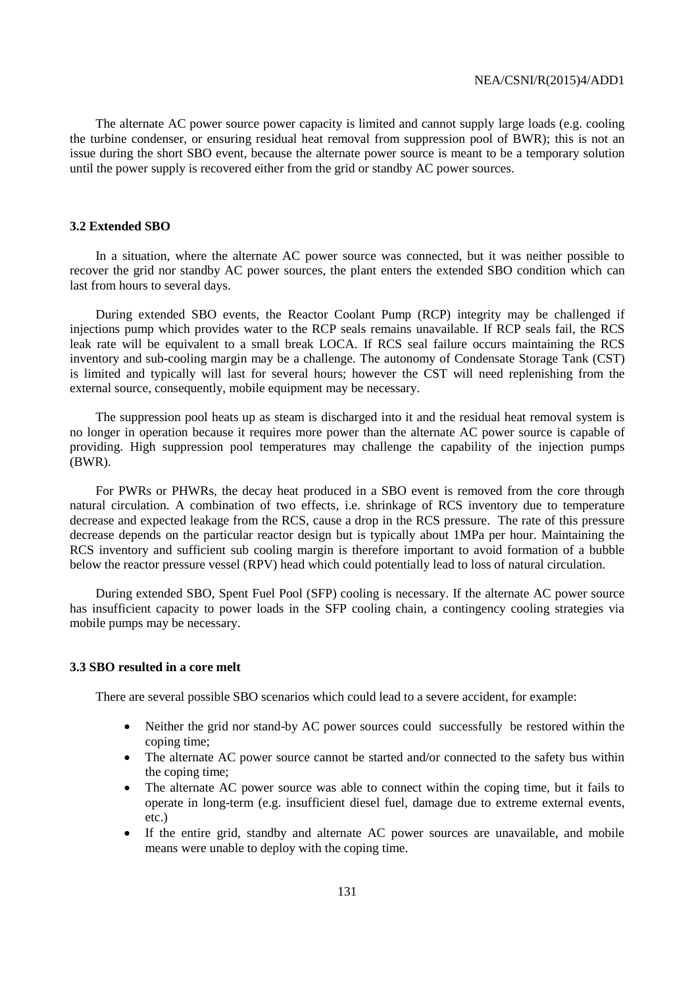The alternate AC power source power capacity is limited and cannot supply large loads (e.g. cooling the turbine condenser, or ensuring residual heat removal from suppression pool of BWR); this is not an issue during the short SBO event, because the alternate power source is meant to be a temporary solution until the power supply is recovered either from the grid or standby AC power sources.

#### **3.2 Extended SBO**

In a situation, where the alternate AC power source was connected, but it was neither possible to recover the grid nor standby AC power sources, the plant enters the extended SBO condition which can last from hours to several days.

During extended SBO events, the Reactor Coolant Pump (RCP) integrity may be challenged if injections pump which provides water to the RCP seals remains unavailable. If RCP seals fail, the RCS leak rate will be equivalent to a small break LOCA. If RCS seal failure occurs maintaining the RCS inventory and sub-cooling margin may be a challenge. The autonomy of Condensate Storage Tank (CST) is limited and typically will last for several hours; however the CST will need replenishing from the external source, consequently, mobile equipment may be necessary.

The suppression pool heats up as steam is discharged into it and the residual heat removal system is no longer in operation because it requires more power than the alternate AC power source is capable of providing. High suppression pool temperatures may challenge the capability of the injection pumps (BWR).

For PWRs or PHWRs, the decay heat produced in a SBO event is removed from the core through natural circulation. A combination of two effects, i.e. shrinkage of RCS inventory due to temperature decrease and expected leakage from the RCS, cause a drop in the RCS pressure. The rate of this pressure decrease depends on the particular reactor design but is typically about 1MPa per hour. Maintaining the RCS inventory and sufficient sub cooling margin is therefore important to avoid formation of a bubble below the reactor pressure vessel (RPV) head which could potentially lead to loss of natural circulation.

During extended SBO, Spent Fuel Pool (SFP) cooling is necessary. If the alternate AC power source has insufficient capacity to power loads in the SFP cooling chain, a contingency cooling strategies via mobile pumps may be necessary.

## **3.3 SBO resulted in a core melt**

There are several possible SBO scenarios which could lead to a severe accident, for example:

- Neither the grid nor stand-by AC power sources could successfully be restored within the coping time;
- The alternate AC power source cannot be started and/or connected to the safety bus within the coping time;
- The alternate AC power source was able to connect within the coping time, but it fails to operate in long-term (e.g. insufficient diesel fuel, damage due to extreme external events, etc.)
- If the entire grid, standby and alternate AC power sources are unavailable, and mobile means were unable to deploy with the coping time.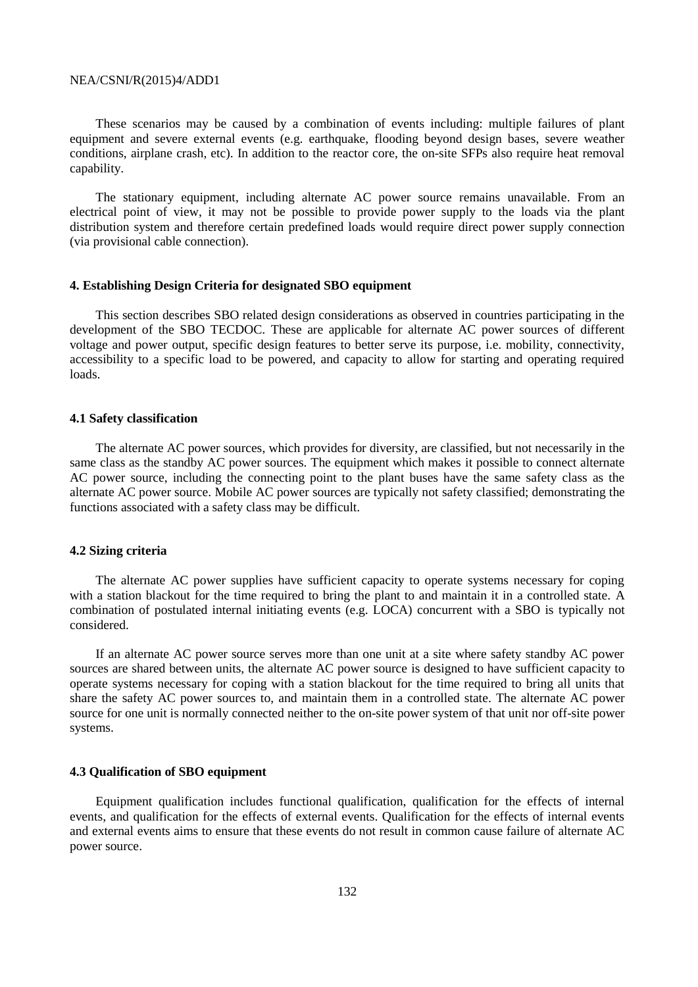These scenarios may be caused by a combination of events including: multiple failures of plant equipment and severe external events (e.g. earthquake, flooding beyond design bases, severe weather conditions, airplane crash, etc). In addition to the reactor core, the on-site SFPs also require heat removal capability.

The stationary equipment, including alternate AC power source remains unavailable. From an electrical point of view, it may not be possible to provide power supply to the loads via the plant distribution system and therefore certain predefined loads would require direct power supply connection (via provisional cable connection).

#### **4. Establishing Design Criteria for designated SBO equipment**

This section describes SBO related design considerations as observed in countries participating in the development of the SBO TECDOC. These are applicable for alternate AC power sources of different voltage and power output, specific design features to better serve its purpose, i.e. mobility, connectivity, accessibility to a specific load to be powered, and capacity to allow for starting and operating required loads.

#### **4.1 Safety classification**

The alternate AC power sources, which provides for diversity, are classified, but not necessarily in the same class as the standby AC power sources. The equipment which makes it possible to connect alternate AC power source, including the connecting point to the plant buses have the same safety class as the alternate AC power source. Mobile AC power sources are typically not safety classified; demonstrating the functions associated with a safety class may be difficult.

#### **4.2 Sizing criteria**

The alternate AC power supplies have sufficient capacity to operate systems necessary for coping with a station blackout for the time required to bring the plant to and maintain it in a controlled state. A combination of postulated internal initiating events (e.g. LOCA) concurrent with a SBO is typically not considered.

If an alternate AC power source serves more than one unit at a site where safety standby AC power sources are shared between units, the alternate AC power source is designed to have sufficient capacity to operate systems necessary for coping with a station blackout for the time required to bring all units that share the safety AC power sources to, and maintain them in a controlled state. The alternate AC power source for one unit is normally connected neither to the on-site power system of that unit nor off-site power systems.

## **4.3 Qualification of SBO equipment**

Equipment qualification includes functional qualification, qualification for the effects of internal events, and qualification for the effects of external events. Qualification for the effects of internal events and external events aims to ensure that these events do not result in common cause failure of alternate AC power source.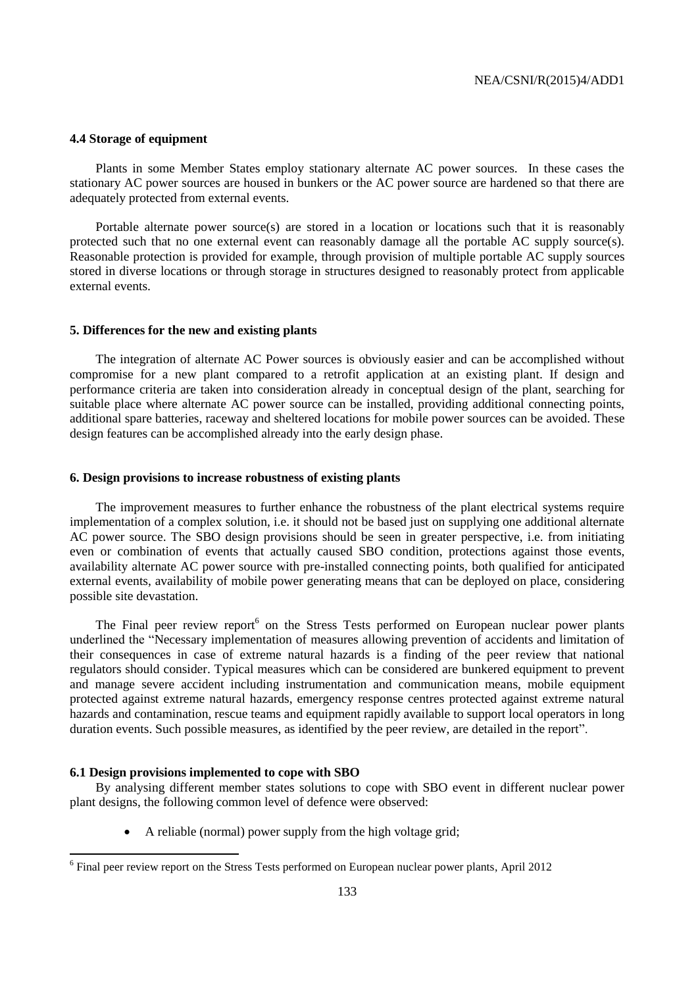# **4.4 Storage of equipment**

Plants in some Member States employ stationary alternate AC power sources. In these cases the stationary AC power sources are housed in bunkers or the AC power source are hardened so that there are adequately protected from external events.

Portable alternate power source(s) are stored in a location or locations such that it is reasonably protected such that no one external event can reasonably damage all the portable AC supply source(s). Reasonable protection is provided for example, through provision of multiple portable AC supply sources stored in diverse locations or through storage in structures designed to reasonably protect from applicable external events.

#### **5. Differences for the new and existing plants**

The integration of alternate AC Power sources is obviously easier and can be accomplished without compromise for a new plant compared to a retrofit application at an existing plant. If design and performance criteria are taken into consideration already in conceptual design of the plant, searching for suitable place where alternate AC power source can be installed, providing additional connecting points, additional spare batteries, raceway and sheltered locations for mobile power sources can be avoided. These design features can be accomplished already into the early design phase.

## **6. Design provisions to increase robustness of existing plants**

The improvement measures to further enhance the robustness of the plant electrical systems require implementation of a complex solution, i.e. it should not be based just on supplying one additional alternate AC power source. The SBO design provisions should be seen in greater perspective, i.e. from initiating even or combination of events that actually caused SBO condition, protections against those events, availability alternate AC power source with pre-installed connecting points, both qualified for anticipated external events, availability of mobile power generating means that can be deployed on place, considering possible site devastation.

The Final peer review report<sup>6</sup> on the Stress Tests performed on European nuclear power plants underlined the "Necessary implementation of measures allowing prevention of accidents and limitation of their consequences in case of extreme natural hazards is a finding of the peer review that national regulators should consider. Typical measures which can be considered are bunkered equipment to prevent and manage severe accident including instrumentation and communication means, mobile equipment protected against extreme natural hazards, emergency response centres protected against extreme natural hazards and contamination, rescue teams and equipment rapidly available to support local operators in long duration events. Such possible measures, as identified by the peer review, are detailed in the report".

#### **6.1 Design provisions implemented to cope with SBO**

 $\overline{a}$ 

By analysing different member states solutions to cope with SBO event in different nuclear power plant designs, the following common level of defence were observed:

A reliable (normal) power supply from the high voltage grid;

 $<sup>6</sup>$  Final peer review report on the Stress Tests performed on European nuclear power plants, April 2012</sup>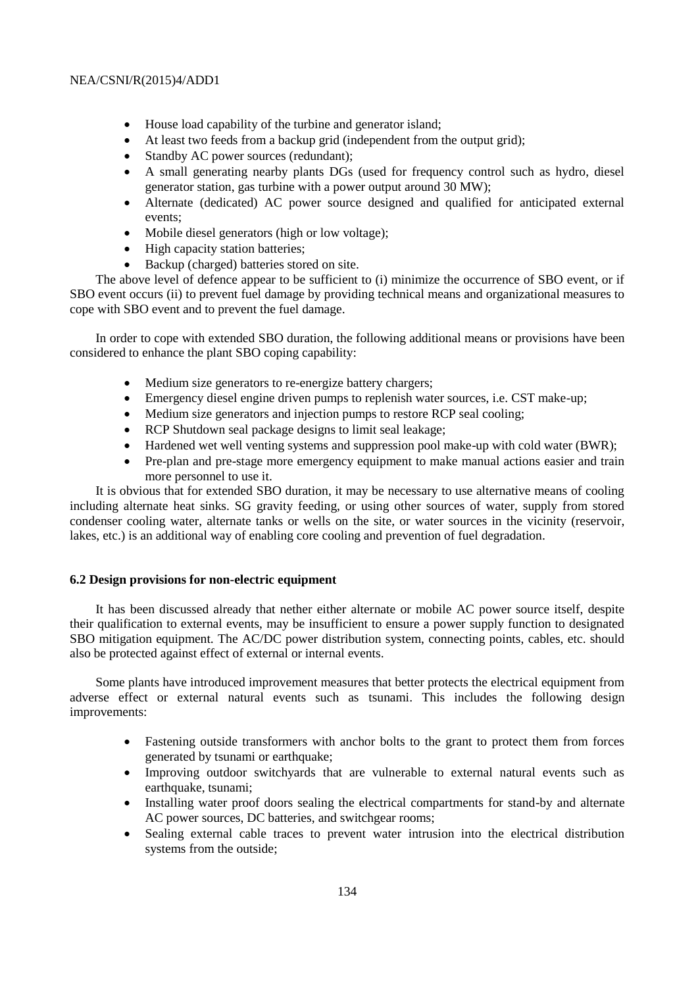- House load capability of the turbine and generator island;
- At least two feeds from a backup grid (independent from the output grid);
- Standby AC power sources (redundant);
- A small generating nearby plants DGs (used for frequency control such as hydro, diesel generator station, gas turbine with a power output around 30 MW);
- Alternate (dedicated) AC power source designed and qualified for anticipated external events;
- Mobile diesel generators (high or low voltage);
- High capacity station batteries;
- Backup (charged) batteries stored on site.

The above level of defence appear to be sufficient to (i) minimize the occurrence of SBO event, or if SBO event occurs (ii) to prevent fuel damage by providing technical means and organizational measures to cope with SBO event and to prevent the fuel damage.

In order to cope with extended SBO duration, the following additional means or provisions have been considered to enhance the plant SBO coping capability:

- Medium size generators to re-energize battery chargers;
- Emergency diesel engine driven pumps to replenish water sources, i.e. CST make-up;
- Medium size generators and injection pumps to restore RCP seal cooling;
- RCP Shutdown seal package designs to limit seal leakage;
- Hardened wet well venting systems and suppression pool make-up with cold water (BWR);
- Pre-plan and pre-stage more emergency equipment to make manual actions easier and train more personnel to use it.

It is obvious that for extended SBO duration, it may be necessary to use alternative means of cooling including alternate heat sinks. SG gravity feeding, or using other sources of water, supply from stored condenser cooling water, alternate tanks or wells on the site, or water sources in the vicinity (reservoir, lakes, etc.) is an additional way of enabling core cooling and prevention of fuel degradation.

# **6.2 Design provisions for non-electric equipment**

It has been discussed already that nether either alternate or mobile AC power source itself, despite their qualification to external events, may be insufficient to ensure a power supply function to designated SBO mitigation equipment. The AC/DC power distribution system, connecting points, cables, etc. should also be protected against effect of external or internal events.

Some plants have introduced improvement measures that better protects the electrical equipment from adverse effect or external natural events such as tsunami. This includes the following design improvements:

- Fastening outside transformers with anchor bolts to the grant to protect them from forces generated by tsunami or earthquake;
- Improving outdoor switchyards that are vulnerable to external natural events such as earthquake, tsunami;
- Installing water proof doors sealing the electrical compartments for stand-by and alternate AC power sources, DC batteries, and switchgear rooms;
- Sealing external cable traces to prevent water intrusion into the electrical distribution systems from the outside;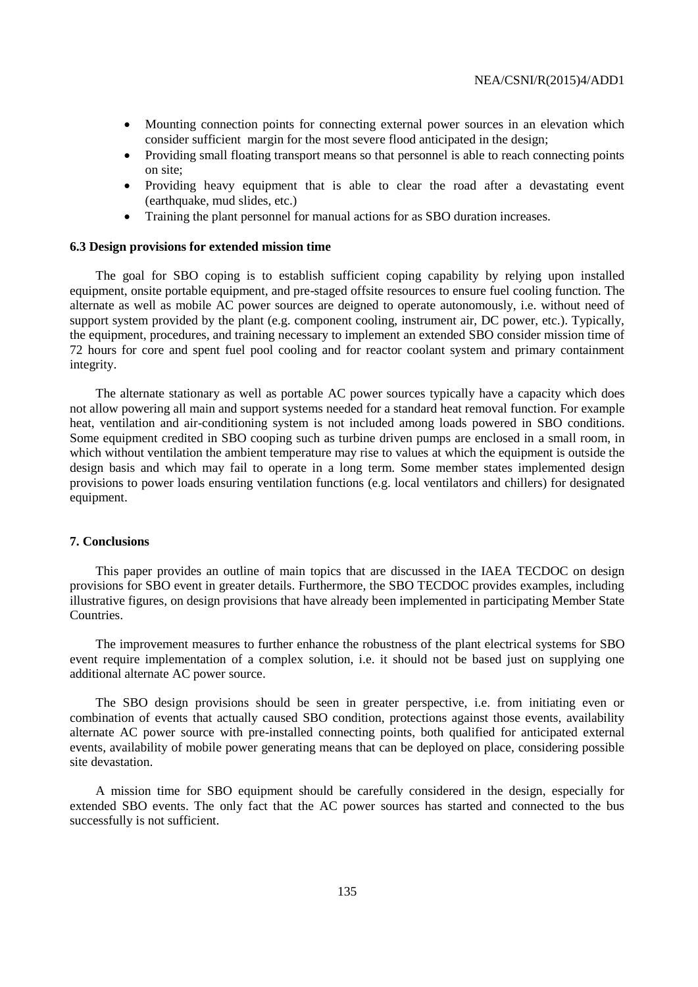- Mounting connection points for connecting external power sources in an elevation which consider sufficient margin for the most severe flood anticipated in the design;
- Providing small floating transport means so that personnel is able to reach connecting points on site;
- Providing heavy equipment that is able to clear the road after a devastating event (earthquake, mud slides, etc.)
- Training the plant personnel for manual actions for as SBO duration increases.

#### **6.3 Design provisions for extended mission time**

The goal for SBO coping is to establish sufficient coping capability by relying upon installed equipment, onsite portable equipment, and pre-staged offsite resources to ensure fuel cooling function. The alternate as well as mobile AC power sources are deigned to operate autonomously, i.e. without need of support system provided by the plant (e.g. component cooling, instrument air, DC power, etc.). Typically, the equipment, procedures, and training necessary to implement an extended SBO consider mission time of 72 hours for core and spent fuel pool cooling and for reactor coolant system and primary containment integrity.

The alternate stationary as well as portable AC power sources typically have a capacity which does not allow powering all main and support systems needed for a standard heat removal function. For example heat, ventilation and air-conditioning system is not included among loads powered in SBO conditions. Some equipment credited in SBO cooping such as turbine driven pumps are enclosed in a small room, in which without ventilation the ambient temperature may rise to values at which the equipment is outside the design basis and which may fail to operate in a long term. Some member states implemented design provisions to power loads ensuring ventilation functions (e.g. local ventilators and chillers) for designated equipment.

## **7. Conclusions**

This paper provides an outline of main topics that are discussed in the IAEA TECDOC on design provisions for SBO event in greater details. Furthermore, the SBO TECDOC provides examples, including illustrative figures, on design provisions that have already been implemented in participating Member State Countries.

The improvement measures to further enhance the robustness of the plant electrical systems for SBO event require implementation of a complex solution, i.e. it should not be based just on supplying one additional alternate AC power source.

The SBO design provisions should be seen in greater perspective, i.e. from initiating even or combination of events that actually caused SBO condition, protections against those events, availability alternate AC power source with pre-installed connecting points, both qualified for anticipated external events, availability of mobile power generating means that can be deployed on place, considering possible site devastation.

A mission time for SBO equipment should be carefully considered in the design, especially for extended SBO events. The only fact that the AC power sources has started and connected to the bus successfully is not sufficient.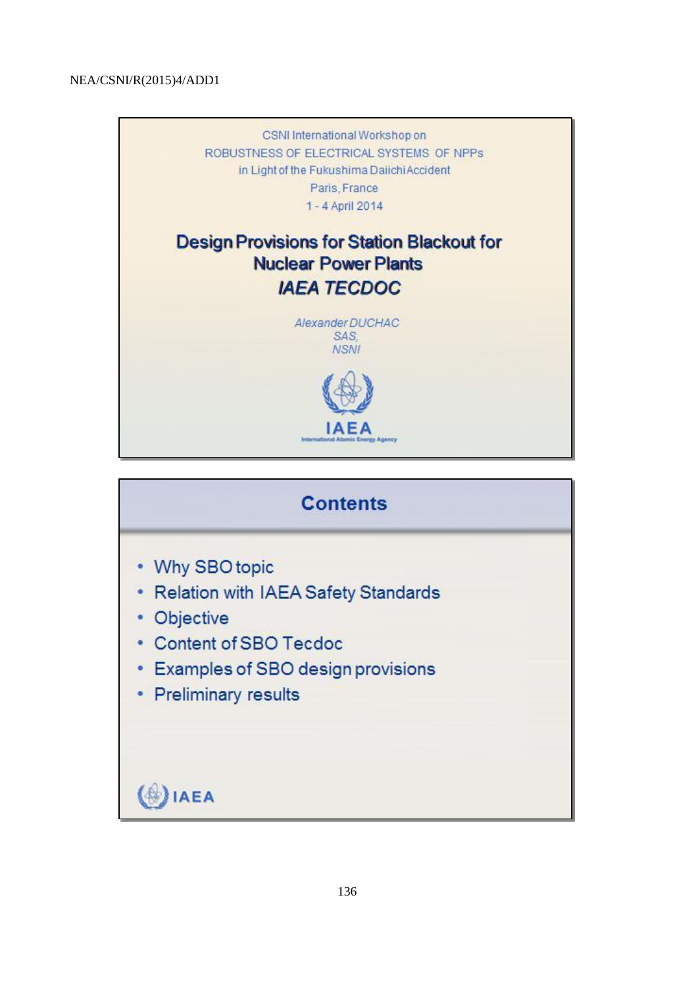

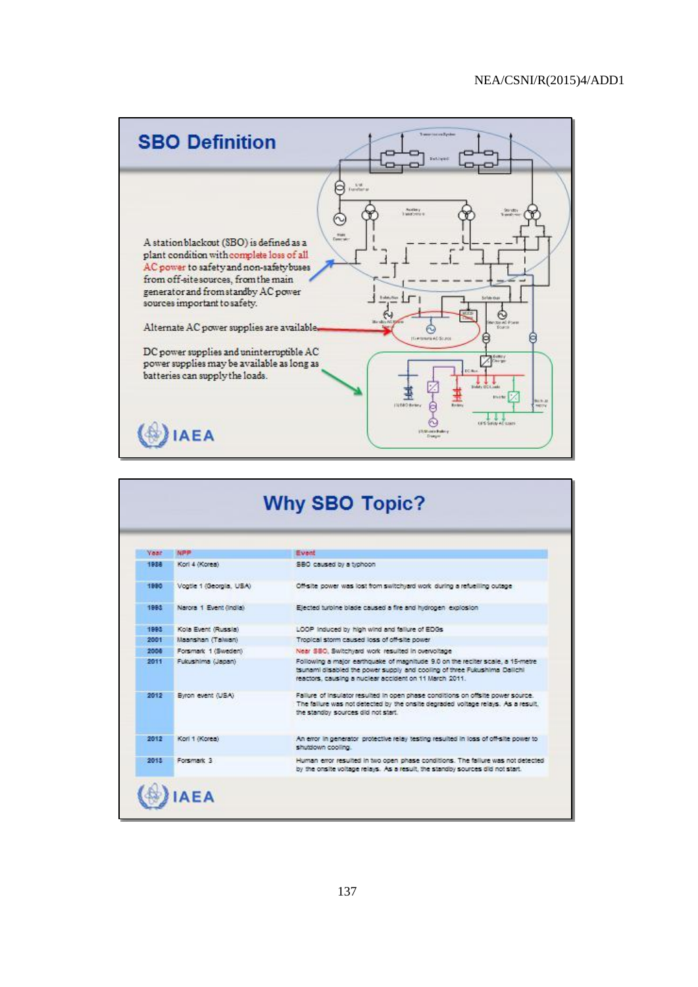

| Year | <b>NPP</b>              | Event                                                                                                                                                                                                                |
|------|-------------------------|----------------------------------------------------------------------------------------------------------------------------------------------------------------------------------------------------------------------|
| 1938 | Korl 4 (Korea)          | SBO caused by a typhoon                                                                                                                                                                                              |
| 1990 | Vogtle 1 (Georgia, USA) | Off-site power was lost from switchyard work during a refuelling outage.                                                                                                                                             |
| 1993 | Narora 1 Event (India)  | Elected turbine blade caused a fire and hydrogen explosion.                                                                                                                                                          |
| 1993 | Kola Event (Russia)     | LOOP induced by high wind and failure of EDGs                                                                                                                                                                        |
| 2001 | Maanshan (Talwan)       | Tropical storm caused loss of off-site power.                                                                                                                                                                        |
| 2004 | Forsmark 1 (Sweden)     | Near SBO. Switchvard work resulted in overvoltage                                                                                                                                                                    |
| 2011 | Fultushima (Japan)      | Following a major earthquake of magnitude 9.0 on the reciter scale, a 15-metre<br>tsunami disabled the power supply and cooling of three Fukushima Dalichi<br>reactors, causing a nuclear accident on 11 March 2011. |
| 2012 | Byron event (USA)       | Fallure of insulator resulted in open phase conditions on offsite power source.<br>The failure was not detected by the onsite degraded voltage relays. As a result.<br>the standby sources did not start.            |
| 2012 | Korl 1 (Korea)          | An error in generator protective relay testing resulted in loss of off-site power to<br>shutdown cooling.                                                                                                            |
| 2013 | Foremank <sub>3</sub>   | Human error resulted in two open phase conditions. The failure was not detected<br>by the onsite voltage relays. As a result, the standby sources did not start.                                                     |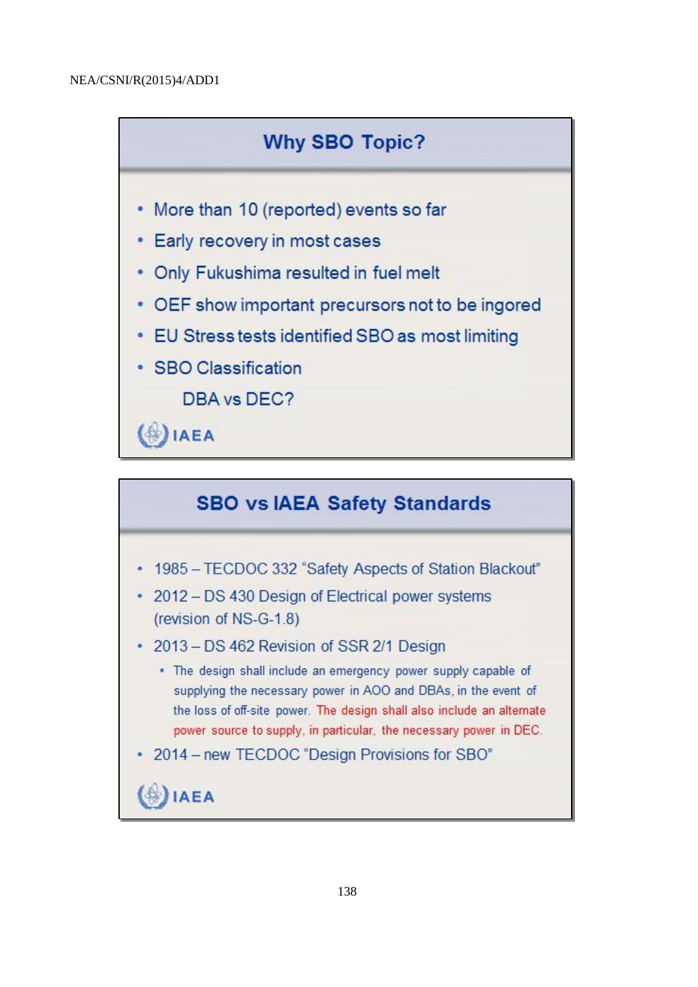

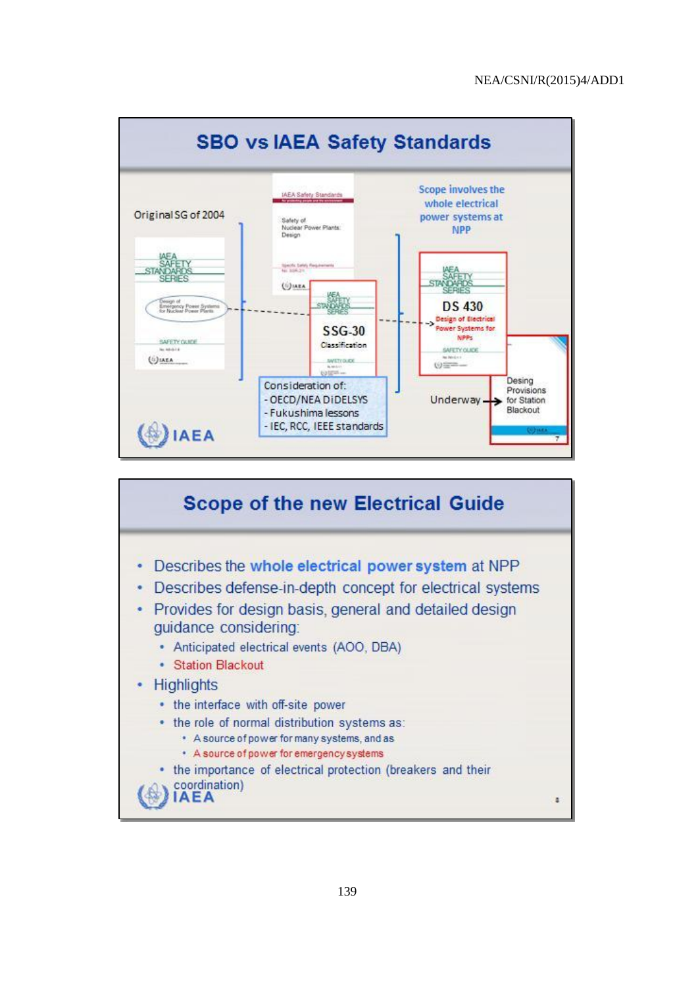

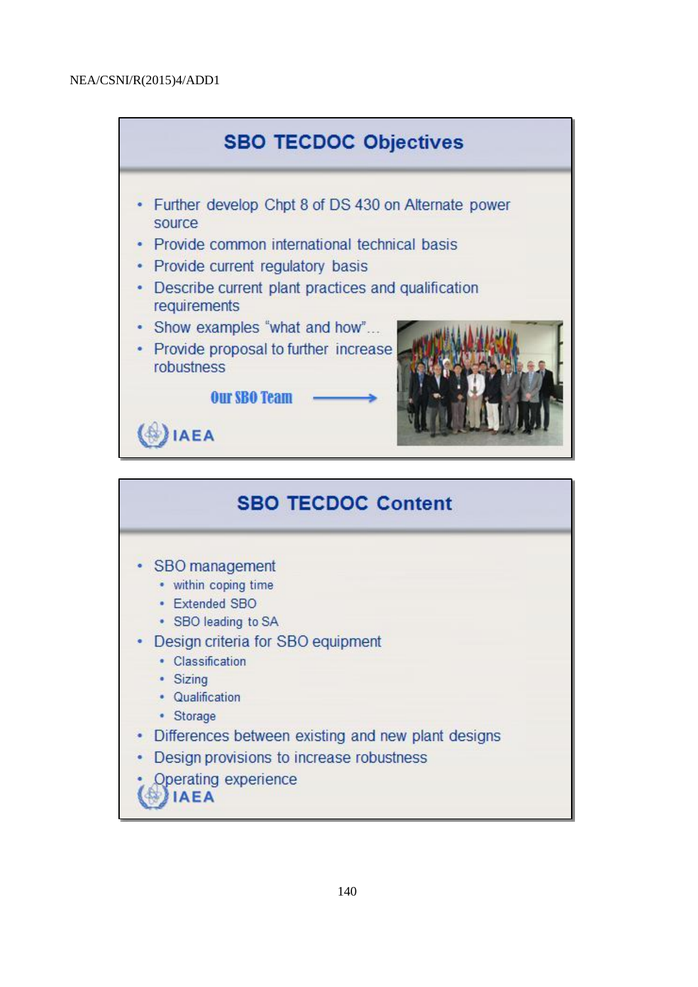

| <b>SBO TECDOC Content</b>                                |  |  |  |
|----------------------------------------------------------|--|--|--|
| • SBO management                                         |  |  |  |
| • within coping time                                     |  |  |  |
| • Extended SBO                                           |  |  |  |
| • SBO leading to SA<br>Design criteria for SBO equipment |  |  |  |
| • Classification                                         |  |  |  |
| · Sizing                                                 |  |  |  |
| • Qualification                                          |  |  |  |
| • Storage                                                |  |  |  |
| • Differences between existing and new plant designs     |  |  |  |
| Design provisions to increase robustness<br>٠            |  |  |  |
| Operating experience<br><b>IAEA</b>                      |  |  |  |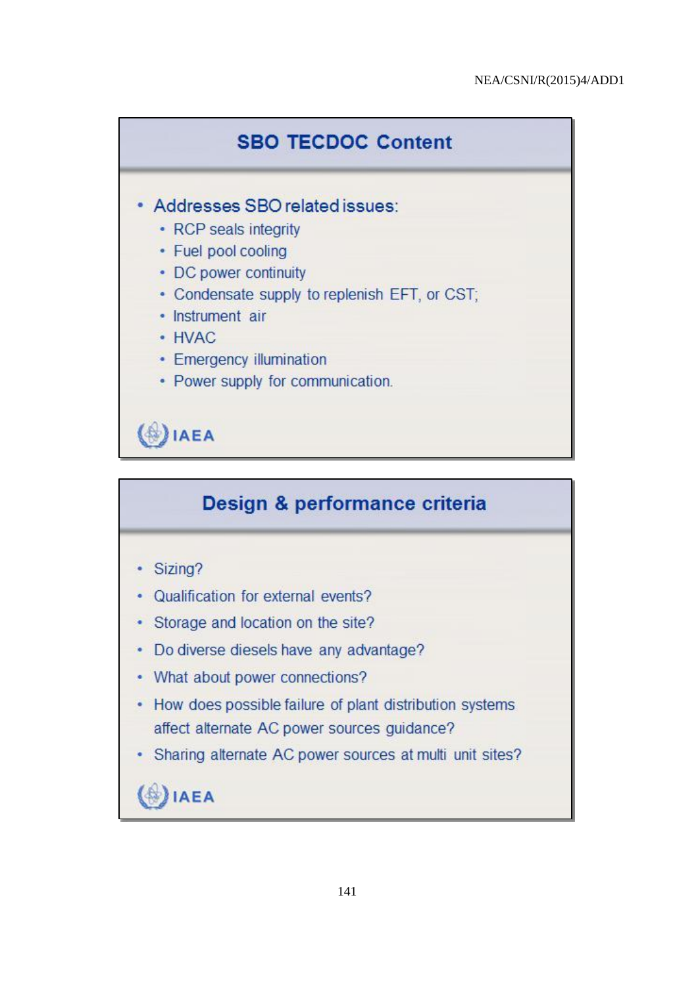

# Design & performance criteria

- Sizing?
- Qualification for external events?
- Storage and location on the site?
- Do diverse diesels have any advantage?
- What about power connections?
- How does possible failure of plant distribution systems affect alternate AC power sources guidance?
- Sharing alternate AC power sources at multi unit sites?

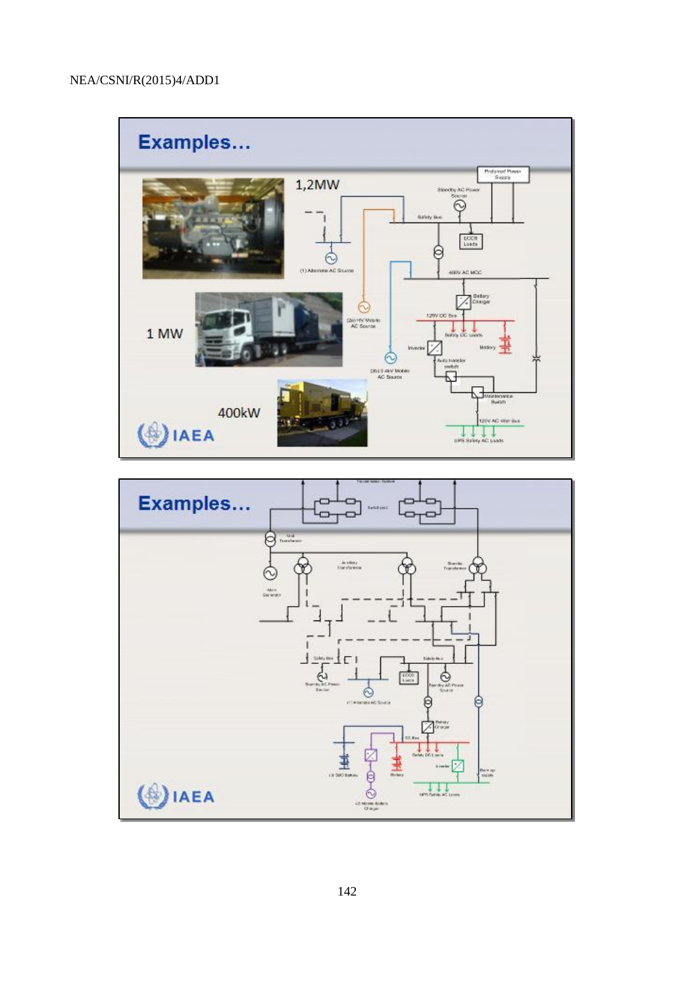